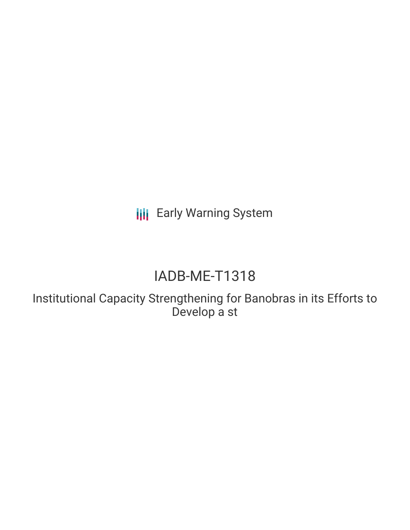**III** Early Warning System

# IADB-ME-T1318

Institutional Capacity Strengthening for Banobras in its Efforts to Develop a st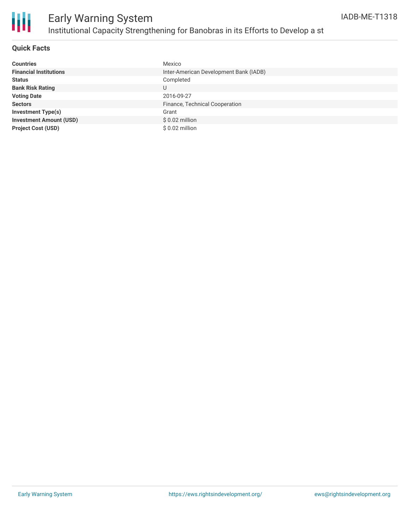

### **Quick Facts**

| <b>Countries</b>               | Mexico                                 |
|--------------------------------|----------------------------------------|
| <b>Financial Institutions</b>  | Inter-American Development Bank (IADB) |
| <b>Status</b>                  | Completed                              |
| <b>Bank Risk Rating</b>        | U                                      |
| <b>Voting Date</b>             | 2016-09-27                             |
| <b>Sectors</b>                 | Finance, Technical Cooperation         |
| <b>Investment Type(s)</b>      | Grant                                  |
| <b>Investment Amount (USD)</b> | $$0.02$ million                        |
| <b>Project Cost (USD)</b>      | $$0.02$ million                        |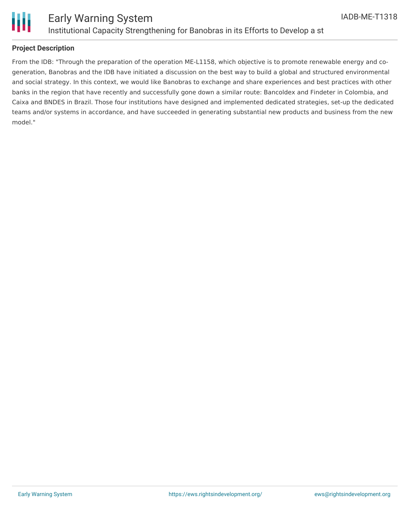

### **Project Description**

From the IDB: "Through the preparation of the operation ME-L1158, which objective is to promote renewable energy and cogeneration, Banobras and the IDB have initiated a discussion on the best way to build a global and structured environmental and social strategy. In this context, we would like Banobras to exchange and share experiences and best practices with other banks in the region that have recently and successfully gone down a similar route: Bancoldex and Findeter in Colombia, and Caixa and BNDES in Brazil. Those four institutions have designed and implemented dedicated strategies, set-up the dedicated teams and/or systems in accordance, and have succeeded in generating substantial new products and business from the new model."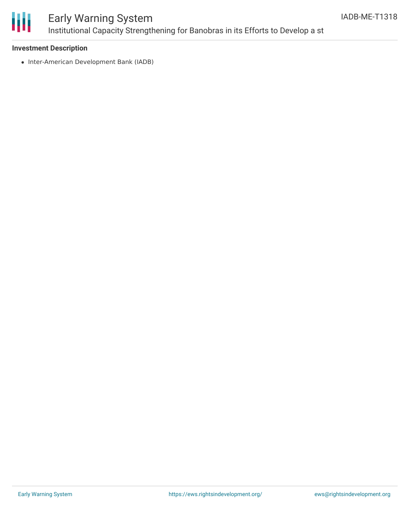

## Early Warning System Institutional Capacity Strengthening for Banobras in its Efforts to Develop a st

### **Investment Description**

• Inter-American Development Bank (IADB)